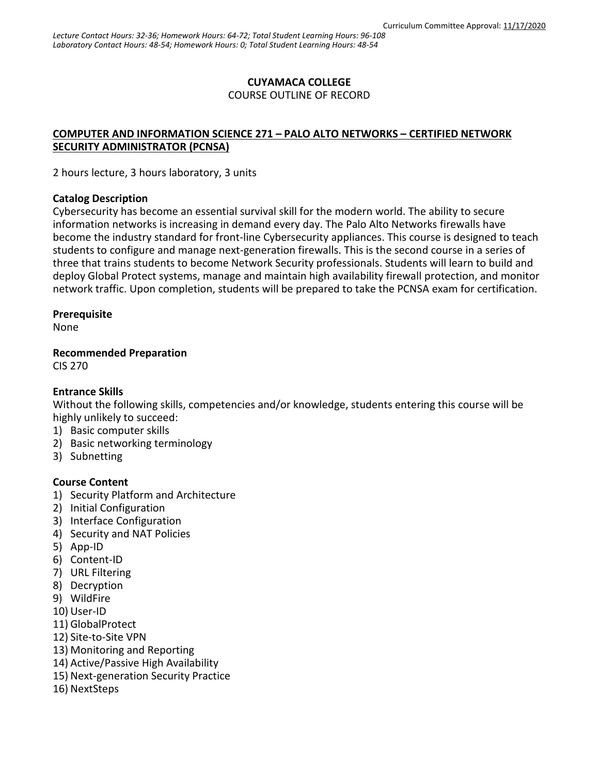## **CUYAMACA COLLEGE**

COURSE OUTLINE OF RECORD

## **COMPUTER AND INFORMATION SCIENCE 271 – PALO ALTO NETWORKS – CERTIFIED NETWORK SECURITY ADMINISTRATOR (PCNSA)**

2 hours lecture, 3 hours laboratory, 3 units

#### **Catalog Description**

Cybersecurity has become an essential survival skill for the modern world. The ability to secure information networks is increasing in demand every day. The Palo Alto Networks firewalls have become the industry standard for front-line Cybersecurity appliances. This course is designed to teach students to configure and manage next-generation firewalls. This is the second course in a series of three that trains students to become Network Security professionals. Students will learn to build and deploy Global Protect systems, manage and maintain high availability firewall protection, and monitor network traffic. Upon completion, students will be prepared to take the PCNSA exam for certification.

## **Prerequisite**

None

**Recommended Preparation**

CIS 270

## **Entrance Skills**

Without the following skills, competencies and/or knowledge, students entering this course will be highly unlikely to succeed:

- 1) Basic computer skills
- 2) Basic networking terminology
- 3) Subnetting

## **Course Content**

- 1) Security Platform and Architecture
- 2) Initial Configuration
- 3) Interface Configuration
- 4) Security and NAT Policies
- 5) App-ID
- 6) Content-ID
- 7) URL Filtering
- 8) Decryption
- 9) WildFire
- 10) User-ID
- 11) GlobalProtect
- 12) Site-to-Site VPN
- 13) Monitoring and Reporting
- 14) Active/Passive High Availability
- 15) Next-generation Security Practice
- 16) NextSteps